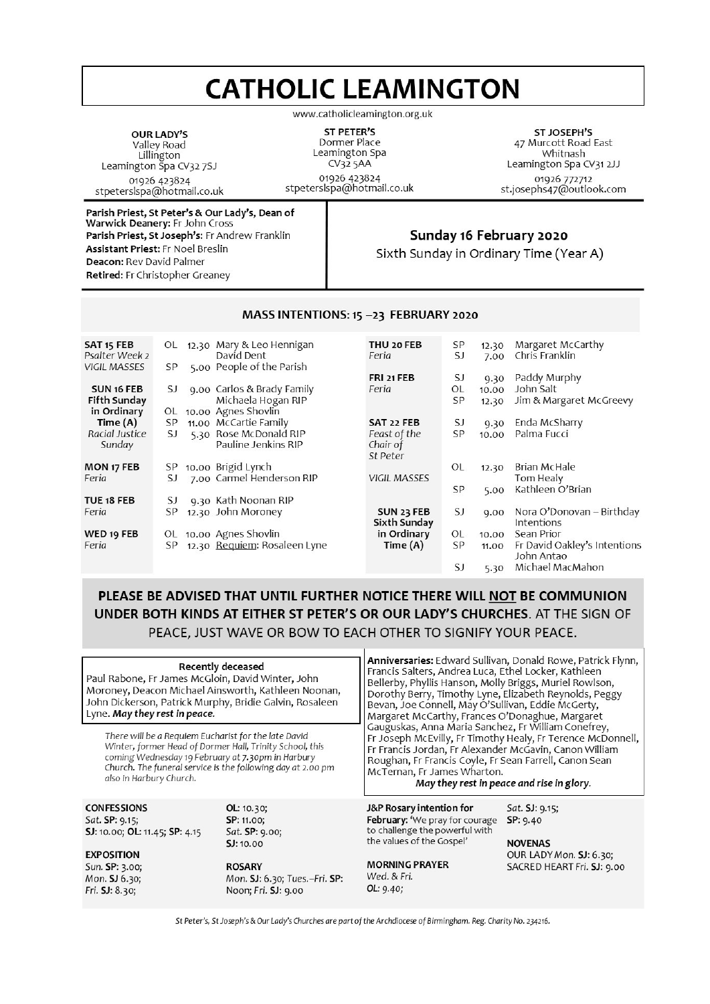# **CATHOLIC LEAMINGTON**

www.catholicleamington.org.uk

OUR LADY'S Valley Road Lillington Leamington Spa CV327SJ 01926 423824 stpeterslspa@hotmail.co.uk

**ST PETER'S** Dormer Place Leamington Spa  $CV325AA$ 01926 423824 stpeterslspa@hotmail.co.uk

ST JOSEPH'S 47 Murcott Road East Whitnash Leamington Spa CV31 2JJ 01926 772712<br>st.josephs47@outlook.com

Parish Priest, St Peter's & Our Lady's, Dean of Warwick Deanery: Fr John Cross Parish Priest, St Joseph's: Fr Andrew Franklin **Assistant Priest: Fr Noel Breslin** Deacon: Rev David Palmer Retired: Fr Christopher Greaney

#### Sunday 16 February 2020

Sixth Sunday in Ordinary Time (Year A)

| SAT <sub>15</sub> FEB<br>Psalter Week 2 | OL  | 12.30 Mary & Leo Hennigan<br>David Dent       | THU 20 FEB<br>Feria      | SP<br>SJ | 12.30<br>7.00 | Margaret McCarthy<br>Chris Franklin        |
|-----------------------------------------|-----|-----------------------------------------------|--------------------------|----------|---------------|--------------------------------------------|
| <b>VIGIL MASSES</b>                     | SP  | 5.00 People of the Parish                     | FRI 21 FEB               | SJ       |               | Paddy Murphy                               |
| SUN 16 FEB                              | SJ  | 9.00 Carlos & Brady Family                    | Feria                    | OL       | 9.30<br>10.00 | John Salt                                  |
| Fifth Sunday                            |     | Michaela Hogan RIP                            |                          | SP       | 12.30         | Jim & Margaret McGreevy                    |
| in Ordinary                             | OL  | 10.00 Agnes Shovlin                           |                          |          |               |                                            |
| Time $(A)$                              | SP  | 11.00 McCartie Family                         | SAT 22 FEB               | SJ       | 9.30          | Enda McSharry                              |
| Racial Justice<br>Sunday                | SJ  | 5.30 Rose McDonald RIP<br>Pauline Jenkins RIP | Feast of the<br>Chair of | SP       | 10.00         | Palma Fucci                                |
|                                         |     |                                               | St Peter                 |          |               |                                            |
| MON 17 FEB                              | SP  | 10.00 Brigid Lynch                            |                          | OL       | 12.30         | Brian McHale                               |
| Feria                                   | SJ  | 7.00 Carmel Henderson RIP                     | <b>VIGIL MASSES</b>      |          |               | Tom Healy                                  |
| TUE 18 FEB                              | SJ  | 9.30 Kath Noonan RIP                          |                          | SP       | 5.00          | Kathleen O'Brian                           |
| Feria                                   | SP  | 12.30 John Moroney                            | SUN 23 FEB               | SJ       | 9.00          | Nora O'Donovan – Birthday                  |
|                                         |     |                                               | Sixth Sunday             |          |               | Intentions                                 |
| WED 19 FEB                              | OL. | 10.00 Agnes Shovlin                           | in Ordinary              | OL       | 10.00         | Sean Prior                                 |
| Feria                                   | SP  | 12.30 Requiem: Rosaleen Lyne                  | Time (A)                 | SP       | 11.00         | Fr David Oakley's Intentions<br>John Antao |
|                                         |     |                                               |                          | SJ       | 5.30          | Michael MacMahon                           |

MASS INTENTIONS: 15 -23 FEBRUARY 2020

# PLEASE BE ADVISED THAT UNTIL FURTHER NOTICE THERE WILL NOT BE COMMUNION UNDER BOTH KINDS AT EITHER ST PETER'S OR OUR LADY'S CHURCHES. AT THE SIGN OF PEACE, JUST WAVE OR BOW TO EACH OTHER TO SIGNIFY YOUR PEACE.

| Paul Rabone, Fr James McGloin, David Winter, John<br>Moroney, Deacon Michael Ainsworth, Kathleen Noonan,<br>John Dickerson, Patrick Murphy, Bridie Galvin, Rosaleen<br>Lyne. May they rest in peace. | Recently deceased                                                                                                                | Anniversaries: Edward Sullivan, Donald Rowe, Patrick Flynn,<br>Francis Salters, Andrea Luca, Ethel Locker, Kathleen<br>Bellerby, Phyllis Hanson, Molly Briggs, Muriel Rowlson,<br>Dorothy Berry, Timothy Lyne, Elizabeth Reynolds, Peggy<br>Bevan, Joe Connell, May O'Sullivan, Eddie McGerty,<br>Margaret McCarthy, Frances O'Donaghue, Margaret |                                                                                                       |  |  |
|------------------------------------------------------------------------------------------------------------------------------------------------------------------------------------------------------|----------------------------------------------------------------------------------------------------------------------------------|---------------------------------------------------------------------------------------------------------------------------------------------------------------------------------------------------------------------------------------------------------------------------------------------------------------------------------------------------|-------------------------------------------------------------------------------------------------------|--|--|
| There will be a Requiem Eucharist for the late David<br>Winter, former Head of Dormer Hall, Trinity School, this<br>coming Wednesday 19 February at 7.30pm in Harbury<br>also in Harbury Church.     | Church. The funeral service is the following day at 2.00 pm                                                                      | Gauguskas, Anna Maria Sanchez, Fr William Conefrey,<br>Fr Joseph McEvilly, Fr Timothy Healy, Fr Terence McDonnell,<br>Fr Francis Jordan, Fr Alexander McGavin, Canon William<br>Roughan, Fr Francis Coyle, Fr Sean Farrell, Canon Sean<br>McTernan, Fr James Wharton.<br>May they rest in peace and rise in glory.                                |                                                                                                       |  |  |
| <b>CONFESSIONS</b><br>Sat. SP: 9.15;<br>SJ: 10.00; OL: 11.45; SP: 4.15<br><b>EXPOSITION</b><br>Sun. SP: 3.00;<br>Mon. SJ 6.30;<br>Fri. SJ: 8.30;                                                     | OL: 10.30;<br>SP: 11.00;<br>Sat. SP: 9.00;<br>SJ: 10.00<br><b>ROSARY</b><br>Mon. SJ: 6.30; Tues.-Fri. SP:<br>Noon; Fri. SJ: 9.00 | J&P Rosary intention for<br>February: 'We pray for courage<br>to challenge the powerful with<br>the values of the Gospel'<br><b>MORNING PRAYER</b><br>Wed. & Fri.<br>OL: 9.40;                                                                                                                                                                    | Sat. SJ: 9.15;<br>SP: 9.40<br><b>NOVENAS</b><br>OUR LADY Mon. SJ: 6.30;<br>SACRED HEART Fri. SJ: 9.00 |  |  |

St Peter's, St Joseph's & Our Lady's Churches are part of the Archdiocese of Birmingham. Reg. Charity No. 234216.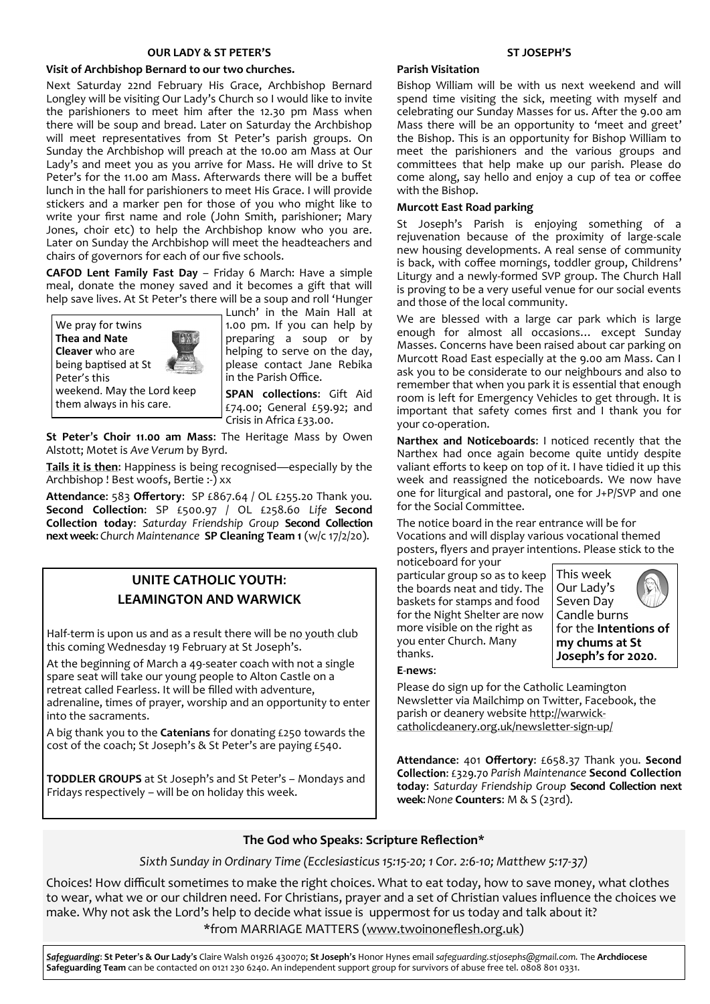#### **OUR LADY & ST PETER'S**

#### **Visit of Archbishop Bernard to our two churches.**

Next Saturday 22nd February His Grace, Archbishop Bernard Longley will be visiting Our Lady's Church so I would like to invite the parishioners to meet him after the 12.30 pm Mass when there will be soup and bread. Later on Saturday the Archbishop will meet representatives from St Peter's parish groups. On Sunday the Archbishop will preach at the 10.00 am Mass at Our Lady's and meet you as you arrive for Mass. He will drive to St Peter's for the 11.00 am Mass. Afterwards there will be a buffet lunch in the hall for parishioners to meet His Grace. I will provide stickers and a marker pen for those of you who might like to write your first name and role (John Smith, parishioner; Mary Jones, choir etc) to help the Archbishop know who you are. Later on Sunday the Archbishop will meet the headteachers and chairs of governors for each of our five schools.

**CAFOD Lent Family Fast Day** – Friday 6 March: Have a simple meal, donate the money saved and it becomes a gift that will help save lives. At St Peter's there will be a soup and roll 'Hunger Lunch' in the Main Hall at

We pray for twins **Thea and Nate Cleaver** who are being baptised at St Peter's this weekend. May the Lord keep them always in his care.



1.00 pm. If you can help by preparing a soup or by helping to serve on the day, please contact Jane Rebika in the Parish Office.

**SPAN collections**: Gift Aid £74.00; General £59.92; and Crisis in Africa £33.00.

**St Peter**'**s Choir 11**.**00 am Mass**: The Heritage Mass by Owen Alstott; Motet is *Ave Verum* by Byrd.

**Tails it is then**: Happiness is being recognised—especially by the Archbishop ! Best woofs, Bertie :-) xx

**Attendance**: 583 **Offertory**: SP £867.64 / OL £255.20 Thank you. **Second Collection**: SP £500.97 / OL £258.60 *Life* **Second Collection today**: *Saturday Friendship Group* **Second Collection next week**: *Church Maintenance* **SP Cleaning Team 1** (w/c 17/2/20).

# **UNITE CATHOLIC YOUTH**: **LEAMINGTON AND WARWICK**

Half-term is upon us and as a result there will be no youth club this coming Wednesday 19 February at St Joseph's.

At the beginning of March a 49-seater coach with not a single spare seat will take our young people to Alton Castle on a retreat called Fearless. It will be filled with adventure, adrenaline, times of prayer, worship and an opportunity to enter into the sacraments.

A big thank you to the **Catenians** for donating £250 towards the cost of the coach; St Joseph's & St Peter's are paying £540.

**TODDLER GROUPS** at St Joseph's and St Peter's – Mondays and Fridays respectively – will be on holiday this week.

#### **ST JOSEPH'S**

#### **Parish Visitation**

Bishop William will be with us next weekend and will spend time visiting the sick, meeting with myself and celebrating our Sunday Masses for us. After the 9.00 am Mass there will be an opportunity to 'meet and greet' the Bishop. This is an opportunity for Bishop William to meet the parishioners and the various groups and committees that help make up our parish. Please do come along, say hello and enjoy a cup of tea or coffee with the Bishop.

#### **Murcott East Road parking**

St Joseph's Parish is enjoying something of a rejuvenation because of the proximity of large-scale new housing developments. A real sense of community is back, with coffee mornings, toddler group, Childrens' Liturgy and a newly-formed SVP group. The Church Hall is proving to be a very useful venue for our social events and those of the local community.

We are blessed with a large car park which is large enough for almost all occasions… except Sunday Masses. Concerns have been raised about car parking on Murcott Road East especially at the 9.00 am Mass. Can I ask you to be considerate to our neighbours and also to remember that when you park it is essential that enough room is left for Emergency Vehicles to get through. It is important that safety comes first and I thank you for your co-operation.

**Narthex and Noticeboards**: I noticed recently that the Narthex had once again become quite untidy despite valiant efforts to keep on top of it. I have tidied it up this week and reassigned the noticeboards. We now have one for liturgical and pastoral, one for J+P/SVP and one for the Social Committee.

The notice board in the rear entrance will be for Vocations and will display various vocational themed posters, flyers and prayer intentions. Please stick to the noticeboard for your

particular group so as to keep the boards neat and tidy. The baskets for stamps and food for the Night Shelter are now more visible on the right as you enter Church. Many thanks.



#### **E**-**news**:

Please do sign up for the Catholic Leamington Newsletter via Mailchimp on Twitter, Facebook, the parish or deanery website [http://warwick](https://eur01.safelinks.protection.outlook.com/?url=http%3A%2F%2Fwarwick-catholicdeanery.org.uk%2Fnewsletter-sign-up%2F&data=02%7C01%7C%7C721285f1bfe64a92393d08d7a351cd53%7C84df9e7fe9f640afb435aaaaaaaaaaaa%7C1%7C0%7C637157444038479073&sdata=wJyzCzyquvWm6KYBMn)[catholicdeanery.org.uk/newsletter](https://eur01.safelinks.protection.outlook.com/?url=http%3A%2F%2Fwarwick-catholicdeanery.org.uk%2Fnewsletter-sign-up%2F&data=02%7C01%7C%7C721285f1bfe64a92393d08d7a351cd53%7C84df9e7fe9f640afb435aaaaaaaaaaaa%7C1%7C0%7C637157444038479073&sdata=wJyzCzyquvWm6KYBMn)-sign-up/

**Attendance**: 401 **Offertory**: £658.37 Thank you. *Parish Maintenance* **Second Collection today**: *Saturday Friendship Group* **Second Collection next week**: *None* **Counters**: M & S (23rd).

### **The God who Speaks**: **Scripture Reflection\***

*Sixth Sunday in Ordinary Time (Ecclesiasticus 15:15-20; 1 Cor. 2:6-10; Matthew 5:17-37)*

Choices! How difficult sometimes to make the right choices. What to eat today, how to save money, what clothes to wear, what we or our children need. For Christians, prayer and a set of Christian values influence the choices we make. Why not ask the Lord's help to decide what issue is uppermost for us today and talk about it? \*from MARRIAGE MATTERS ([www.twoinoneflesh.org.uk\)](https://eur01.safelinks.protection.outlook.com/?url=http%3A%2F%2Fwww.twoinoneflesh.org.uk&data=02%7C01%7C%7Cbdf29d9374e44095a7e808d79f2d5c41%7C84df9e7fe9f640afb435aaaaaaaaaaaa%7C1%7C0%7C637152889525524283&sdata=B6mgZanButJj8zbIW9CZfjJM8STCXnmhAeROztlSL%2BY%3D)

*Safeguarding*: **St Peter**'**s & Our Lady**'**s** Claire Walsh 01926 430070; **St Joseph**'**s** Honor Hynes email *safeguarding.stjosephs@gmail.com.* The **Archdiocese Safeguarding Team** can be contacted on 0121 230 6240. An independent support group for survivors of abuse free tel. 0808 801 0331.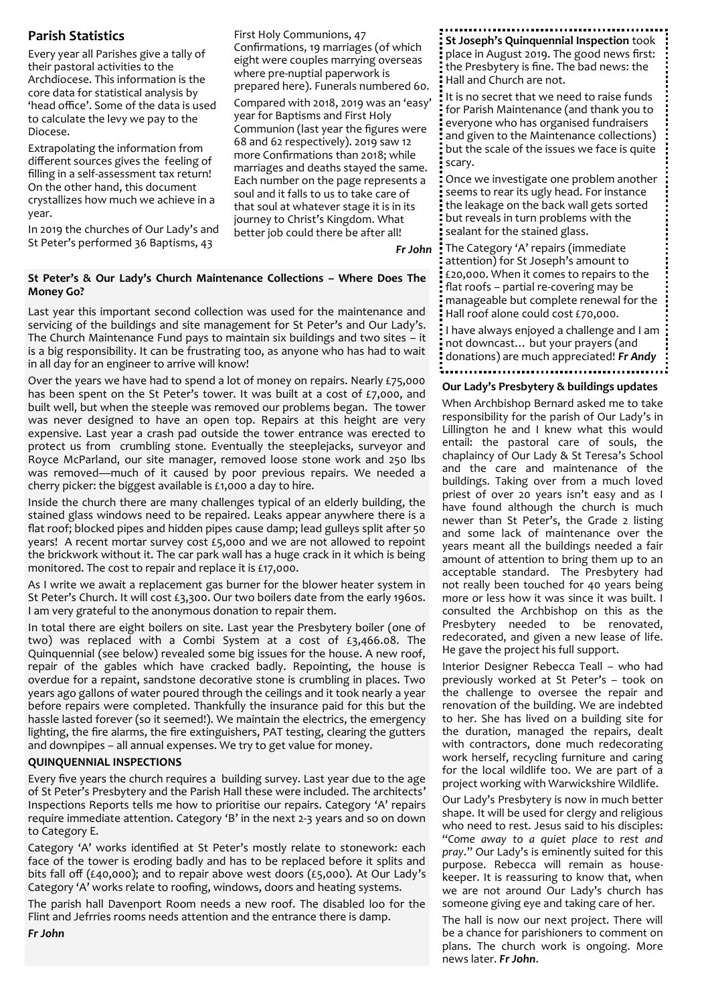## **Parish Statistics**

Every year all Parishes give a tally of their pastoral activities to the Archdiocese. This information is the core data for statistical analysis by 'head office'. Some of the data is used to calculate the levy we pay to the Diocese.

Extrapolating the information from different sources gives the feeling of filling in a self-assessment tax return! On the other hand, this document crystallizes how much we achieve in a year.

In 2019 the churches of Our Lady's and St Peter's performed 36 Baptisms, 43

First Holy Communions, 47 Confirmations, 19 marriages (of which eight were couples marrying overseas where pre-nuptial paperwork is prepared here). Funerals numbered 60. Compared with 2018, 2019 was an 'easy' year for Baptisms and First Holy Communion (last year the figures were 68 and 62 respectively). 2019 saw 12 more Confirmations than 2018; while marriages and deaths stayed the same. Each number on the page represents a soul and it falls to us to take care of that soul at whatever stage it is in its journey to Christ's Kingdom. What better job could there be after all!

*Fr John*

#### **St Peter's & Our Lady's Church Maintenance Collections – Where Does The Money Go?**

Last year this important second collection was used for the maintenance and servicing of the buildings and site management for St Peter's and Our Lady's. The Church Maintenance Fund pays to maintain six buildings and two sites – it is a big responsibility. It can be frustrating too, as anyone who has had to wait in all day for an engineer to arrive will know!

Over the years we have had to spend a lot of money on repairs. Nearly £75,000 has been spent on the St Peter's tower. It was built at a cost of  $£7,000$ , and built well, but when the steeple was removed our problems began. The tower was never designed to have an open top. Repairs at this height are very expensive. Last year a crash pad outside the tower entrance was erected to protect us from crumbling stone. Eventually the steeplejacks, surveyor and Royce McParland, our site manager, removed loose stone work and 250 lbs was removed—much of it caused by poor previous repairs. We needed a cherry picker: the biggest available is £1,000 a day to hire.

Inside the church there are many challenges typical of an elderly building, the stained glass windows need to be repaired. Leaks appear anywhere there is a flat roof; blocked pipes and hidden pipes cause damp; lead gulleys split after 50 years! A recent mortar survey cost £5,000 and we are not allowed to repoint the brickwork without it. The car park wall has a huge crack in it which is being monitored. The cost to repair and replace it is £17,000.

As I write we await a replacement gas burner for the blower heater system in St Peter's Church. It will cost £3,300. Our two boilers date from the early 1960s. I am very grateful to the anonymous donation to repair them.

In total there are eight boilers on site. Last year the Presbytery boiler (one of two) was replaced with a Combi System at a cost of £3,466.08. The Quinquennial (see below) revealed some big issues for the house. A new roof, repair of the gables which have cracked badly. Repointing, the house is overdue for a repaint, sandstone decorative stone is crumbling in places. Two years ago gallons of water poured through the ceilings and it took nearly a year before repairs were completed. Thankfully the insurance paid for this but the hassle lasted forever (so it seemed!). We maintain the electrics, the emergency lighting, the fire alarms, the fire extinguishers, PAT testing, clearing the gutters and downpipes – all annual expenses. We try to get value for money.

#### **QUINQUENNIAL INSPECTIONS**

*Fr John*

Every five years the church requires a building survey. Last year due to the age of St Peter's Presbytery and the Parish Hall these were included. The architects' Inspections Reports tells me how to prioritise our repairs. Category 'A' repairs require immediate attention. Category 'B' in the next 2-3 years and so on down to Category E.

Category 'A' works identified at St Peter's mostly relate to stonework: each face of the tower is eroding badly and has to be replaced before it splits and bits fall off (£40,000); and to repair above west doors (£5,000). At Our Lady's Category 'A' works relate to roofing, windows, doors and heating systems.

The parish hall Davenport Room needs a new roof. The disabled loo for the Flint and Jefrries rooms needs attention and the entrance there is damp.

**St Joseph's Quinquennial Inspection** took place in August 2019. The good news first: the Presbytery is fine. The bad news: the Hall and Church are not.

It is no secret that we need to raise funds for Parish Maintenance (and thank you to everyone who has organised fundraisers and given to the Maintenance collections) but the scale of the issues we face is quite scary.

Once we investigate one problem another seems to rear its ugly head. For instance the leakage on the back wall gets sorted but reveals in turn problems with the sealant for the stained glass.

The Category 'A' repairs (immediate attention) for St Joseph's amount to £20,000. When it comes to repairs to the flat roofs – partial re-covering may be manageable but complete renewal for the Hall roof alone could cost £70,000.

I have always enjoyed a challenge and I am not downcast… but your prayers (and donations) are much appreciated! *Fr Andy*

#### **Our Lady's Presbytery & buildings updates**

When Archbishop Bernard asked me to take responsibility for the parish of Our Lady's in Lillington he and I knew what this would entail: the pastoral care of souls, the chaplaincy of Our Lady & St Teresa's School and the care and maintenance of the buildings. Taking over from a much loved priest of over 20 years isn't easy and as I have found although the church is much newer than St Peter's, the Grade 2 listing and some lack of maintenance over the years meant all the buildings needed a fair amount of attention to bring them up to an acceptable standard. The Presbytery had not really been touched for 40 years being more or less how it was since it was built. I consulted the Archbishop on this as the Presbytery needed to be renovated, redecorated, and given a new lease of life. He gave the project his full support.

Interior Designer Rebecca Teall – who had previously worked at St Peter's – took on the challenge to oversee the repair and renovation of the building. We are indebted to her. She has lived on a building site for the duration, managed the repairs, dealt with contractors, done much redecorating work herself, recycling furniture and caring for the local wildlife too. We are part of a project working with Warwickshire Wildlife.

Our Lady's Presbytery is now in much better shape. It will be used for clergy and religious who need to rest. Jesus said to his disciples: "*Come away to a quiet place to rest and pray*." Our Lady's is eminently suited for this purpose. Rebecca will remain as housekeeper. It is reassuring to know that, when we are not around Our Lady's church has someone giving eye and taking care of her.

The hall is now our next project. There will be a chance for parishioners to comment on plans. The church work is ongoing. More news later. *Fr John*.